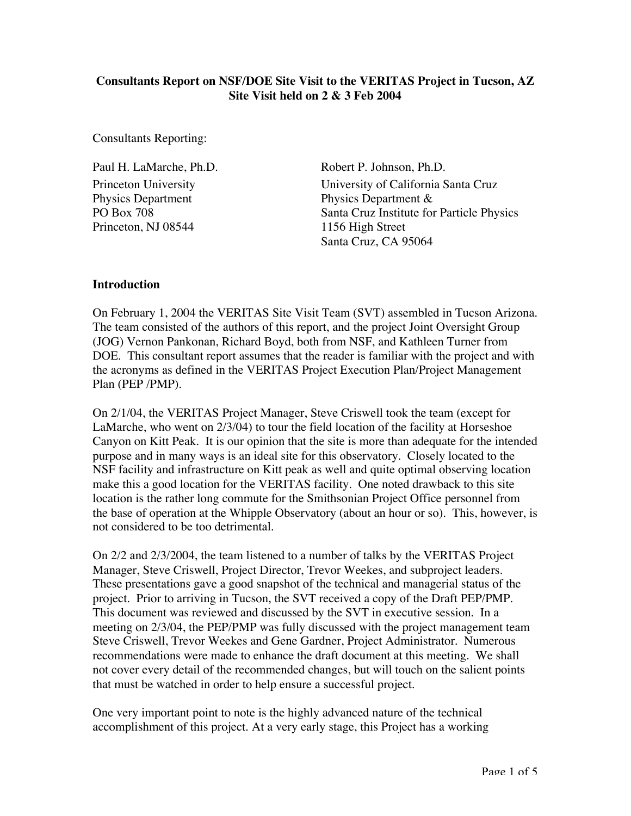## **Consultants Report on NSF/DOE Site Visit to the VERITAS Project in Tucson, AZ Site Visit held on 2 & 3 Feb 2004**

Consultants Reporting:

Paul H. LaMarche, Ph.D. Princeton University Physics Department PO Box 708 Princeton, NJ 08544

Robert P. Johnson, Ph.D. University of California Santa Cruz Physics Department & Santa Cruz Institute for Particle Physics 1156 High Street Santa Cruz, CA 95064

### **Introduction**

On February 1, 2004 the VERITAS Site Visit Team (SVT) assembled in Tucson Arizona. The team consisted of the authors of this report, and the project Joint Oversight Group (JOG) Vernon Pankonan, Richard Boyd, both from NSF, and Kathleen Turner from DOE. This consultant report assumes that the reader is familiar with the project and with the acronyms as defined in the VERITAS Project Execution Plan/Project Management Plan (PEP /PMP).

On 2/1/04, the VERITAS Project Manager, Steve Criswell took the team (except for LaMarche, who went on 2/3/04) to tour the field location of the facility at Horseshoe Canyon on Kitt Peak. It is our opinion that the site is more than adequate for the intended purpose and in many ways is an ideal site for this observatory. Closely located to the NSF facility and infrastructure on Kitt peak as well and quite optimal observing location make this a good location for the VERITAS facility. One noted drawback to this site location is the rather long commute for the Smithsonian Project Office personnel from the base of operation at the Whipple Observatory (about an hour or so). This, however, is not considered to be too detrimental.

On 2/2 and 2/3/2004, the team listened to a number of talks by the VERITAS Project Manager, Steve Criswell, Project Director, Trevor Weekes, and subproject leaders. These presentations gave a good snapshot of the technical and managerial status of the project. Prior to arriving in Tucson, the SVT received a copy of the Draft PEP/PMP. This document was reviewed and discussed by the SVT in executive session. In a meeting on 2/3/04, the PEP/PMP was fully discussed with the project management team Steve Criswell, Trevor Weekes and Gene Gardner, Project Administrator. Numerous recommendations were made to enhance the draft document at this meeting. We shall not cover every detail of the recommended changes, but will touch on the salient points that must be watched in order to help ensure a successful project.

One very important point to note is the highly advanced nature of the technical accomplishment of this project. At a very early stage, this Project has a working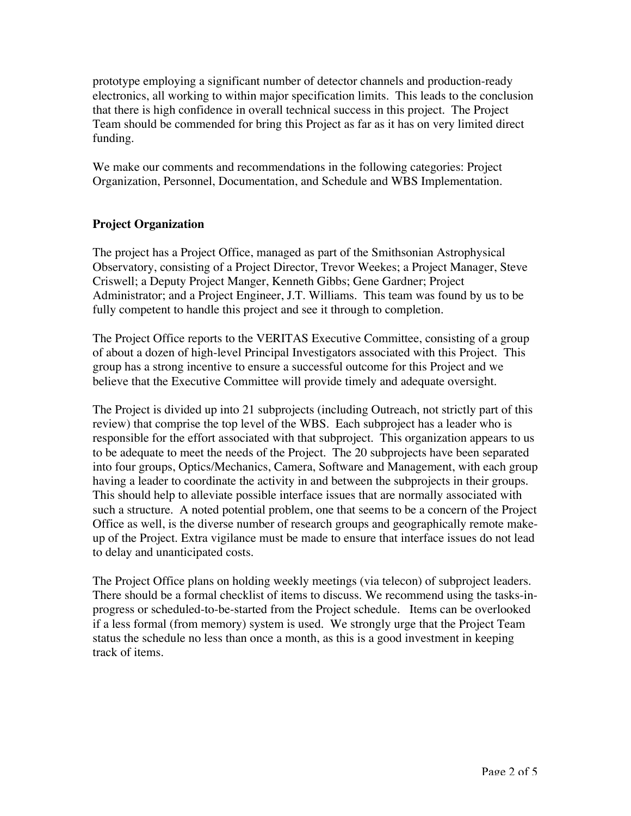prototype employing a significant number of detector channels and production-ready electronics, all working to within major specification limits. This leads to the conclusion that there is high confidence in overall technical success in this project. The Project Team should be commended for bring this Project as far as it has on very limited direct funding.

We make our comments and recommendations in the following categories: Project Organization, Personnel, Documentation, and Schedule and WBS Implementation.

# **Project Organization**

The project has a Project Office, managed as part of the Smithsonian Astrophysical Observatory, consisting of a Project Director, Trevor Weekes; a Project Manager, Steve Criswell; a Deputy Project Manger, Kenneth Gibbs; Gene Gardner; Project Administrator; and a Project Engineer, J.T. Williams. This team was found by us to be fully competent to handle this project and see it through to completion.

The Project Office reports to the VERITAS Executive Committee, consisting of a group of about a dozen of high-level Principal Investigators associated with this Project. This group has a strong incentive to ensure a successful outcome for this Project and we believe that the Executive Committee will provide timely and adequate oversight.

The Project is divided up into 21 subprojects (including Outreach, not strictly part of this review) that comprise the top level of the WBS. Each subproject has a leader who is responsible for the effort associated with that subproject. This organization appears to us to be adequate to meet the needs of the Project. The 20 subprojects have been separated into four groups, Optics/Mechanics, Camera, Software and Management, with each group having a leader to coordinate the activity in and between the subprojects in their groups. This should help to alleviate possible interface issues that are normally associated with such a structure. A noted potential problem, one that seems to be a concern of the Project Office as well, is the diverse number of research groups and geographically remote makeup of the Project. Extra vigilance must be made to ensure that interface issues do not lead to delay and unanticipated costs.

The Project Office plans on holding weekly meetings (via telecon) of subproject leaders. There should be a formal checklist of items to discuss. We recommend using the tasks-inprogress or scheduled-to-be-started from the Project schedule. Items can be overlooked if a less formal (from memory) system is used. We strongly urge that the Project Team status the schedule no less than once a month, as this is a good investment in keeping track of items.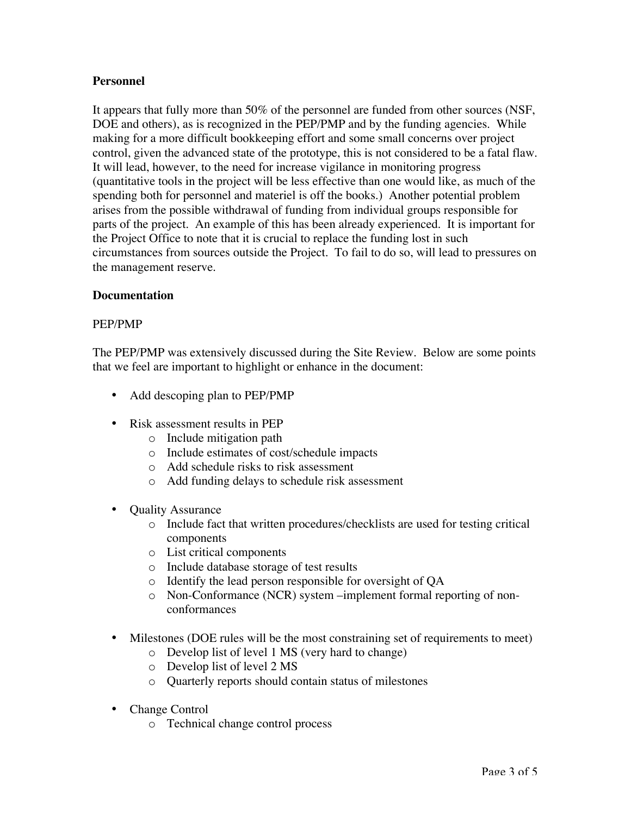## **Personnel**

It appears that fully more than 50% of the personnel are funded from other sources (NSF, DOE and others), as is recognized in the PEP/PMP and by the funding agencies. While making for a more difficult bookkeeping effort and some small concerns over project control, given the advanced state of the prototype, this is not considered to be a fatal flaw. It will lead, however, to the need for increase vigilance in monitoring progress (quantitative tools in the project will be less effective than one would like, as much of the spending both for personnel and materiel is off the books.) Another potential problem arises from the possible withdrawal of funding from individual groups responsible for parts of the project. An example of this has been already experienced. It is important for the Project Office to note that it is crucial to replace the funding lost in such circumstances from sources outside the Project. To fail to do so, will lead to pressures on the management reserve.

### **Documentation**

#### PEP/PMP

The PEP/PMP was extensively discussed during the Site Review. Below are some points that we feel are important to highlight or enhance in the document:

#### Add descoping plan to PEP/PMP

Risk assessment results in PEP

- o Include mitigation path
- o Include estimates of cost/schedule impacts
- o Add schedule risks to risk assessment
- o Add funding delays to schedule risk assessment

Quality Assurance

- o Include fact that written procedures/checklists are used for testing critical components
- o List critical components
- o Include database storage of test results
- o Identify the lead person responsible for oversight of QA
- o Non-Conformance (NCR) system –implement formal reporting of nonconformances

Milestones (DOE rules will be the most constraining set of requirements to meet)

- o Develop list of level 1 MS (very hard to change)
- o Develop list of level 2 MS
- o Quarterly reports should contain status of milestones

#### Change Control

o Technical change control process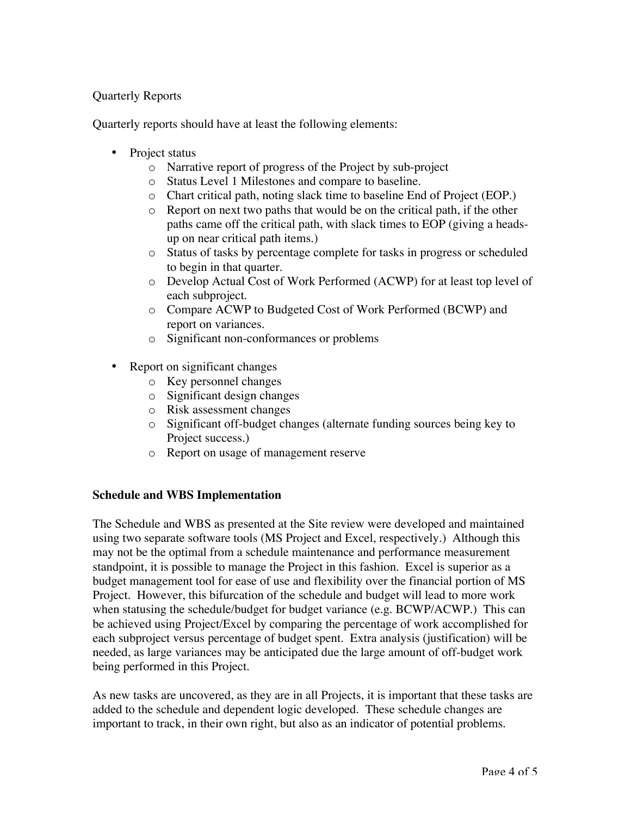## Quarterly Reports

Quarterly reports should have at least the following elements:

Project status

- o Narrative report of progress of the Project by sub-project
- o Status Level 1 Milestones and compare to baseline.
- o Chart critical path, noting slack time to baseline End of Project (EOP.)
- o Report on next two paths that would be on the critical path, if the other paths came off the critical path, with slack times to EOP (giving a headsup on near critical path items.)
- o Status of tasks by percentage complete for tasks in progress or scheduled to begin in that quarter.
- o Develop Actual Cost of Work Performed (ACWP) for at least top level of each subproject.
- o Compare ACWP to Budgeted Cost of Work Performed (BCWP) and report on variances.
- o Significant non-conformances or problems

Report on significant changes

- o Key personnel changes
- o Significant design changes
- o Risk assessment changes
- o Significant off-budget changes (alternate funding sources being key to Project success.)
- o Report on usage of management reserve

### **Schedule and WBS Implementation**

The Schedule and WBS as presented at the Site review were developed and maintained using two separate software tools (MS Project and Excel, respectively.) Although this may not be the optimal from a schedule maintenance and performance measurement standpoint, it is possible to manage the Project in this fashion. Excel is superior as a budget management tool for ease of use and flexibility over the financial portion of MS Project. However, this bifurcation of the schedule and budget will lead to more work when statusing the schedule/budget for budget variance (e.g. BCWP/ACWP.) This can be achieved using Project/Excel by comparing the percentage of work accomplished for each subproject versus percentage of budget spent. Extra analysis (justification) will be needed, as large variances may be anticipated due the large amount of off-budget work being performed in this Project.

As new tasks are uncovered, as they are in all Projects, it is important that these tasks are added to the schedule and dependent logic developed. These schedule changes are important to track, in their own right, but also as an indicator of potential problems.